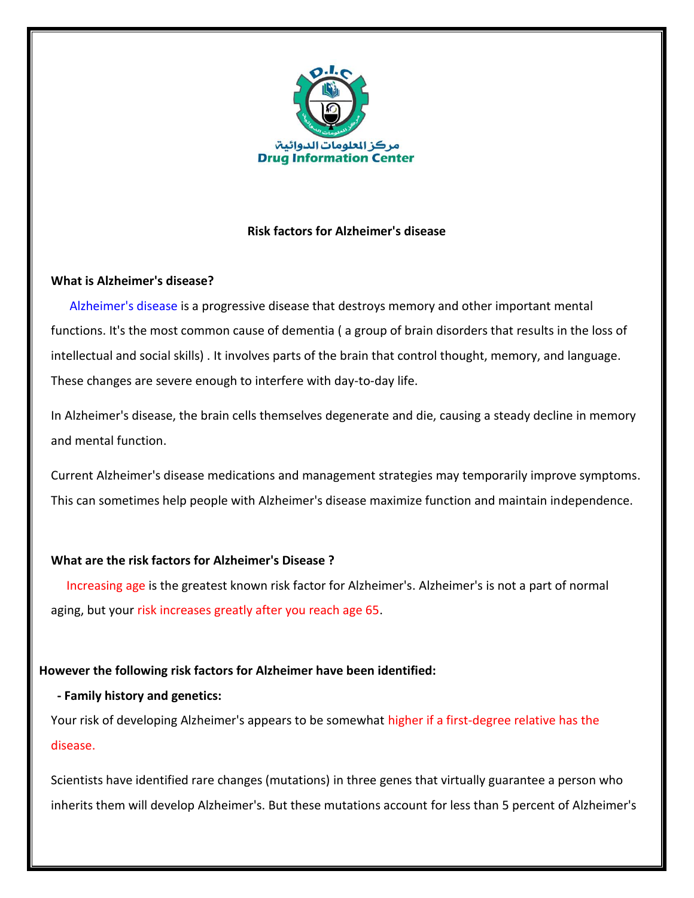

## **Risk factors for Alzheimer's disease**

## **What is Alzheimer's disease?**

 Alzheimer's disease is a progressive disease that destroys memory and other important mental functions. It's the most common cause of dementia ( a group of brain disorders that results in the loss of intellectual and social skills) . It involves parts of the brain that control thought, memory, and language. These changes are severe enough to interfere with day-to-day life.

In Alzheimer's disease, the brain cells themselves degenerate and die, causing a steady decline in memory and mental function.

Current Alzheimer's disease medications and management strategies may temporarily improve symptoms. This can sometimes help people with Alzheimer's disease maximize function and maintain independence.

### **What are the risk factors for Alzheimer's Disease ?**

 Increasing age is the greatest known risk factor for Alzheimer's. Alzheimer's is not a part of normal aging, but your risk increases greatly after you reach age 65.

## **However the following risk factors for Alzheimer have been identified:**

### **- Family history and genetics:**

Your risk of developing Alzheimer's appears to be somewhat higher if a first-degree relative has the disease.

Scientists have identified rare changes (mutations) in three genes that virtually guarantee a person who inherits them will develop Alzheimer's. But these mutations account for less than 5 percent of Alzheimer's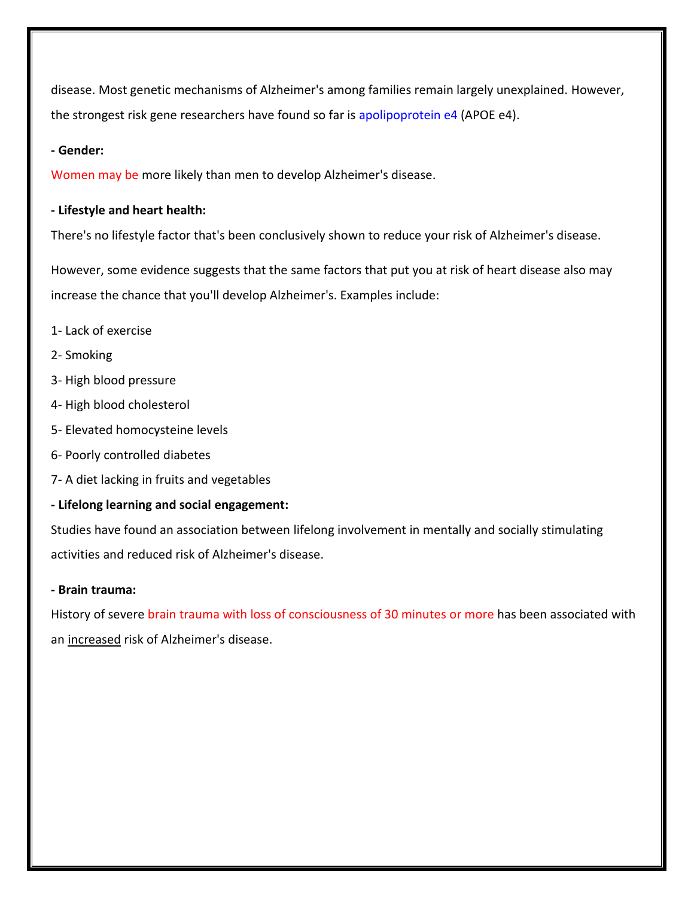disease. Most genetic mechanisms of Alzheimer's among families remain largely unexplained. However, the strongest risk gene researchers have found so far is apolipoprotein e4 (APOE e4).

### **- Gender:**

Women may be more likely than men to develop Alzheimer's disease.

#### **- Lifestyle and heart health:**

There's no lifestyle factor that's been conclusively shown to reduce your risk of Alzheimer's disease.

However, some evidence suggests that the same factors that put you at risk of heart disease also may increase the chance that you'll develop Alzheimer's. Examples include:

- 1- Lack of exercise
- 2- Smoking
- 3- High blood pressure
- 4- High blood cholesterol
- 5- Elevated homocysteine levels
- 6- Poorly controlled diabetes
- 7- A diet lacking in fruits and vegetables

### **- Lifelong learning and social engagement:**

Studies have found an association between lifelong involvement in mentally and socially stimulating activities and reduced risk of Alzheimer's disease.

#### **- Brain trauma:**

History of severe brain trauma with loss of consciousness of 30 minutes or more has been associated with an increased risk of Alzheimer's disease.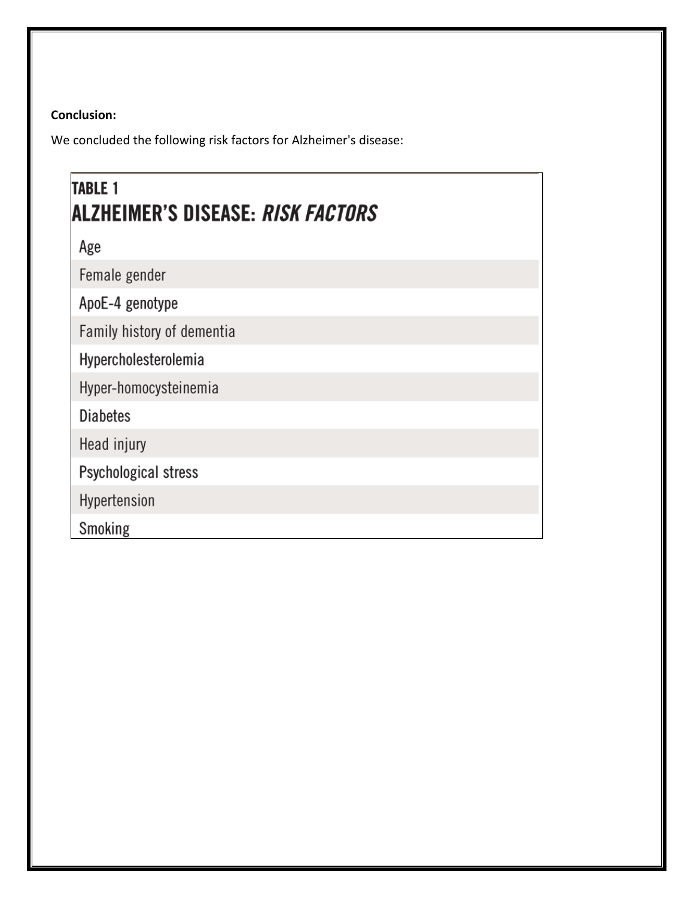# **Conclusion:**

We concluded the following risk factors for Alzheimer's disease:

| <b>TABLE 1</b><br> ALZHEIMER'S DISEASE: <i>Risk Factors</i> |
|-------------------------------------------------------------|
| Age                                                         |
| Female gender                                               |
| ApoE-4 genotype                                             |
| Family history of dementia                                  |
| Hypercholesterolemia                                        |
| Hyper-homocysteinemia                                       |
| <b>Diabetes</b>                                             |
| Head injury                                                 |
| Psychological stress                                        |
| Hypertension                                                |
| Smoking                                                     |